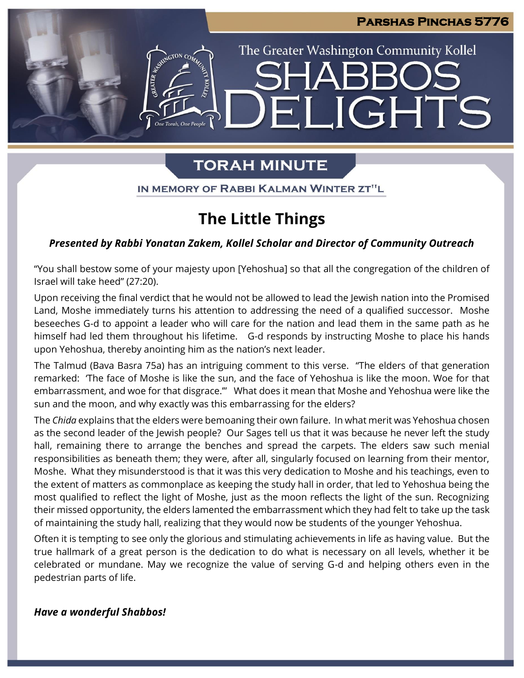IGHTS

The Greater Washington Community Kollel

# **TORAH MINUTE**

 $\blacksquare$ 

IN MEMORY OF RABBI KALMAN WINTER ZT"L

# **The Little Things**

### *Presented by Rabbi Yonatan Zakem, Kollel Scholar and Director of Community Outreach*

"You shall bestow some of your majesty upon [Yehoshua] so that all the congregation of the children of Israel will take heed" (27:20).

Upon receiving the final verdict that he would not be allowed to lead the Jewish nation into the Promised Land, Moshe immediately turns his attention to addressing the need of a qualified successor. Moshe beseeches G-d to appoint a leader who will care for the nation and lead them in the same path as he himself had led them throughout his lifetime. G-d responds by instructing Moshe to place his hands upon Yehoshua, thereby anointing him as the nation's next leader.

The Talmud (Bava Basra 75a) has an intriguing comment to this verse. "The elders of that generation remarked: 'The face of Moshe is like the sun, and the face of Yehoshua is like the moon. Woe for that embarrassment, and woe for that disgrace.'" What does it mean that Moshe and Yehoshua were like the sun and the moon, and why exactly was this embarrassing for the elders?

The *Chida* explains that the elders were bemoaning their own failure. In what merit was Yehoshua chosen as the second leader of the Jewish people? Our Sages tell us that it was because he never left the study hall, remaining there to arrange the benches and spread the carpets. The elders saw such menial responsibilities as beneath them; they were, after all, singularly focused on learning from their mentor, Moshe. What they misunderstood is that it was this very dedication to Moshe and his teachings, even to the extent of matters as commonplace as keeping the study hall in order, that led to Yehoshua being the most qualified to reflect the light of Moshe, just as the moon reflects the light of the sun. Recognizing their missed opportunity, the elders lamented the embarrassment which they had felt to take up the task of maintaining the study hall, realizing that they would now be students of the younger Yehoshua.

Often it is tempting to see only the glorious and stimulating achievements in life as having value. But the true hallmark of a great person is the dedication to do what is necessary on all levels, whether it be celebrated or mundane. May we recognize the value of serving G-d and helping others even in the pedestrian parts of life.

### *Have a wonderful Shabbos!*